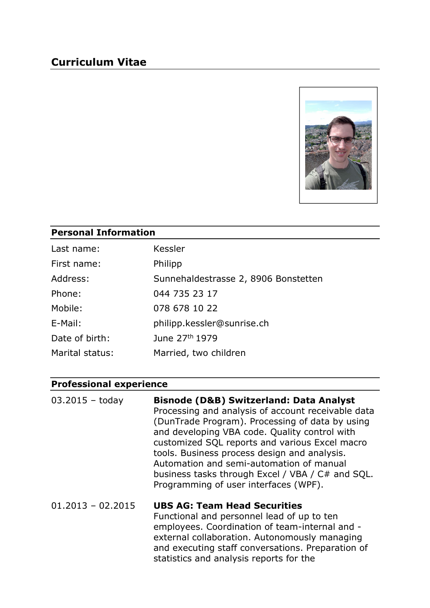# Curriculum Vitae



#### Personal Information

| Last name:      | Kessler                              |
|-----------------|--------------------------------------|
| First name:     | Philipp                              |
| Address:        | Sunnehaldestrasse 2, 8906 Bonstetten |
| Phone:          | 044 735 23 17                        |
| Mobile:         | 078 678 10 22                        |
| E-Mail:         | philipp.kessler@sunrise.ch           |
| Date of birth:  | June 27 <sup>th</sup> 1979           |
| Marital status: | Married, two children                |

#### Professional experience

| $03.2015 - today$   | <b>Bisnode (D&amp;B) Switzerland: Data Analyst</b><br>Processing and analysis of account receivable data<br>(DunTrade Program). Processing of data by using<br>and developing VBA code. Quality control with<br>customized SQL reports and various Excel macro<br>tools. Business process design and analysis.<br>Automation and semi-automation of manual<br>business tasks through Excel / VBA / C# and SQL.<br>Programming of user interfaces (WPF). |
|---------------------|---------------------------------------------------------------------------------------------------------------------------------------------------------------------------------------------------------------------------------------------------------------------------------------------------------------------------------------------------------------------------------------------------------------------------------------------------------|
| $01.2013 - 02.2015$ | <b>UBS AG: Team Head Securities</b><br>Functional and personnel lead of up to ten                                                                                                                                                                                                                                                                                                                                                                       |

employees. Coordination of team-internal and external collaboration. Autonomously managing and executing staff conversations. Preparation of statistics and analysis reports for the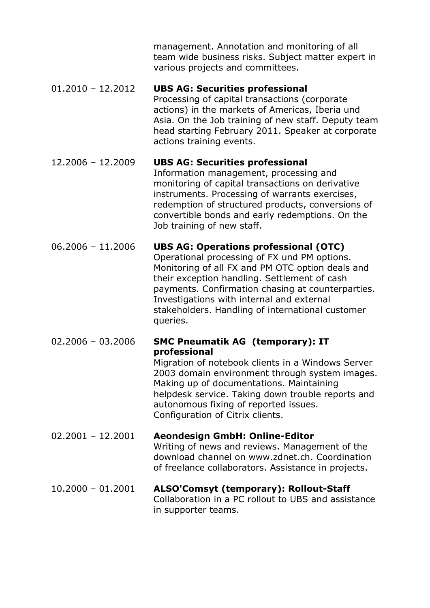management. Annotation and monitoring of all team wide business risks. Subject matter expert in various projects and committees.

#### 01.2010 – 12.2012 UBS AG: Securities professional Processing of capital transactions (corporate actions) in the markets of Americas, Iberia und Asia. On the Job training of new staff. Deputy team head starting February 2011. Speaker at corporate actions training events.

#### 12.2006 – 12.2009 UBS AG: Securities professional Information management, processing and monitoring of capital transactions on derivative instruments. Processing of warrants exercises, redemption of structured products, conversions of convertible bonds and early redemptions. On the Job training of new staff.

#### 06.2006 – 11.2006 UBS AG: Operations professional (OTC) Operational processing of FX und PM options. Monitoring of all FX and PM OTC option deals and their exception handling. Settlement of cash payments. Confirmation chasing at counterparties. Investigations with internal and external stakeholders. Handling of international customer queries.

## 02.2006 – 03.2006 SMC Pneumatik AG (temporary): IT professional

 Migration of notebook clients in a Windows Server 2003 domain environment through system images. Making up of documentations. Maintaining helpdesk service. Taking down trouble reports and autonomous fixing of reported issues. Configuration of Citrix clients.

## 02.2001 – 12.2001 Aeondesign GmbH: Online-Editor Writing of news and reviews. Management of the download channel on www.zdnet.ch. Coordination of freelance collaborators. Assistance in projects.

#### 10.2000 – 01.2001 ALSO'Comsyt (temporary): Rollout-Staff Collaboration in a PC rollout to UBS and assistance in supporter teams.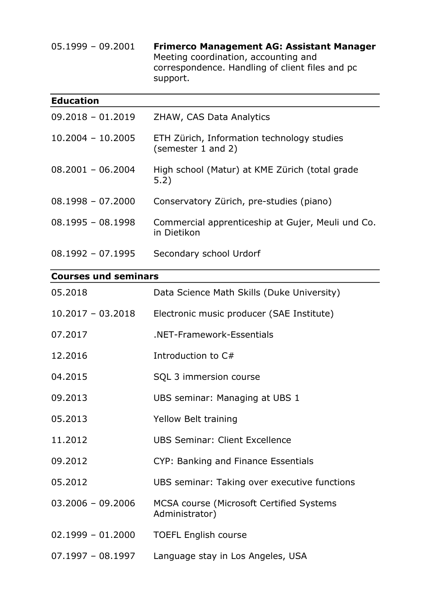05.1999 – 09.2001 Frimerco Management AG: Assistant Manager Meeting coordination, accounting and correspondence. Handling of client files and pc support.

| <b>Education</b>    |                                                                  |
|---------------------|------------------------------------------------------------------|
| $09,2018 - 01,2019$ | ZHAW, CAS Data Analytics                                         |
| $10.2004 - 10.2005$ | ETH Zürich, Information technology studies<br>(semester 1 and 2) |
| $08.2001 - 06.2004$ | High school (Matur) at KME Zürich (total grade<br>5.2)           |
| $08.1998 - 07.2000$ | Conservatory Zürich, pre-studies (piano)                         |
| $08.1995 - 08.1998$ | Commercial apprenticeship at Gujer, Meuli und Co.<br>in Dietikon |
| $08.1992 - 07.1995$ | Secondary school Urdorf                                          |

### Courses und seminars

| 05.2018             | Data Science Math Skills (Duke University)                         |
|---------------------|--------------------------------------------------------------------|
| $10.2017 - 03.2018$ | Electronic music producer (SAE Institute)                          |
| 07.2017             | .NET-Framework-Essentials                                          |
| 12.2016             | Introduction to C#                                                 |
| 04.2015             | SQL 3 immersion course                                             |
| 09.2013             | UBS seminar: Managing at UBS 1                                     |
| 05.2013             | Yellow Belt training                                               |
| 11,2012             | UBS Seminar: Client Excellence                                     |
| 09.2012             | CYP: Banking and Finance Essentials                                |
| 05.2012             | UBS seminar: Taking over executive functions                       |
| $03.2006 - 09.2006$ | <b>MCSA course (Microsoft Certified Systems)</b><br>Administrator) |
| $02.1999 - 01.2000$ | <b>TOEFL English course</b>                                        |
| $07.1997 - 08.1997$ | Language stay in Los Angeles, USA                                  |